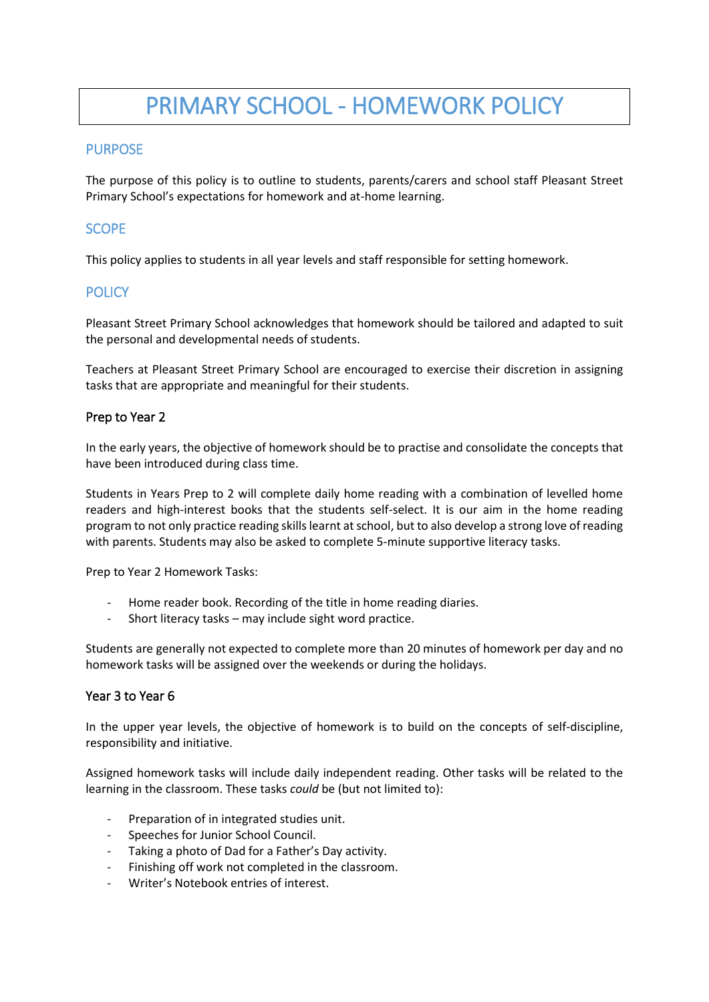# PRIMARY SCHOOL - HOMEWORK POLICY

## **PURPOSE**

The purpose of this policy is to outline to students, parents/carers and school staff Pleasant Street Primary School's expectations for homework and at-home learning.

## **SCOPE**

This policy applies to students in all year levels and staff responsible for setting homework.

# **POLICY**

Pleasant Street Primary School acknowledges that homework should be tailored and adapted to suit the personal and developmental needs of students.

Teachers at Pleasant Street Primary School are encouraged to exercise their discretion in assigning tasks that are appropriate and meaningful for their students.

#### Prep to Year 2

In the early years, the objective of homework should be to practise and consolidate the concepts that have been introduced during class time.

Students in Years Prep to 2 will complete daily home reading with a combination of levelled home readers and high-interest books that the students self-select. It is our aim in the home reading program to not only practice reading skills learnt at school, but to also develop a strong love of reading with parents. Students may also be asked to complete 5-minute supportive literacy tasks.

Prep to Year 2 Homework Tasks:

- Home reader book. Recording of the title in home reading diaries.
- Short literacy tasks may include sight word practice.

Students are generally not expected to complete more than 20 minutes of homework per day and no homework tasks will be assigned over the weekends or during the holidays.

#### Year 3 to Year 6

In the upper year levels, the objective of homework is to build on the concepts of self-discipline, responsibility and initiative.

Assigned homework tasks will include daily independent reading. Other tasks will be related to the learning in the classroom. These tasks *could* be (but not limited to):

- Preparation of in integrated studies unit.
- Speeches for Junior School Council.
- Taking a photo of Dad for a Father's Day activity.
- Finishing off work not completed in the classroom.
- Writer's Notebook entries of interest.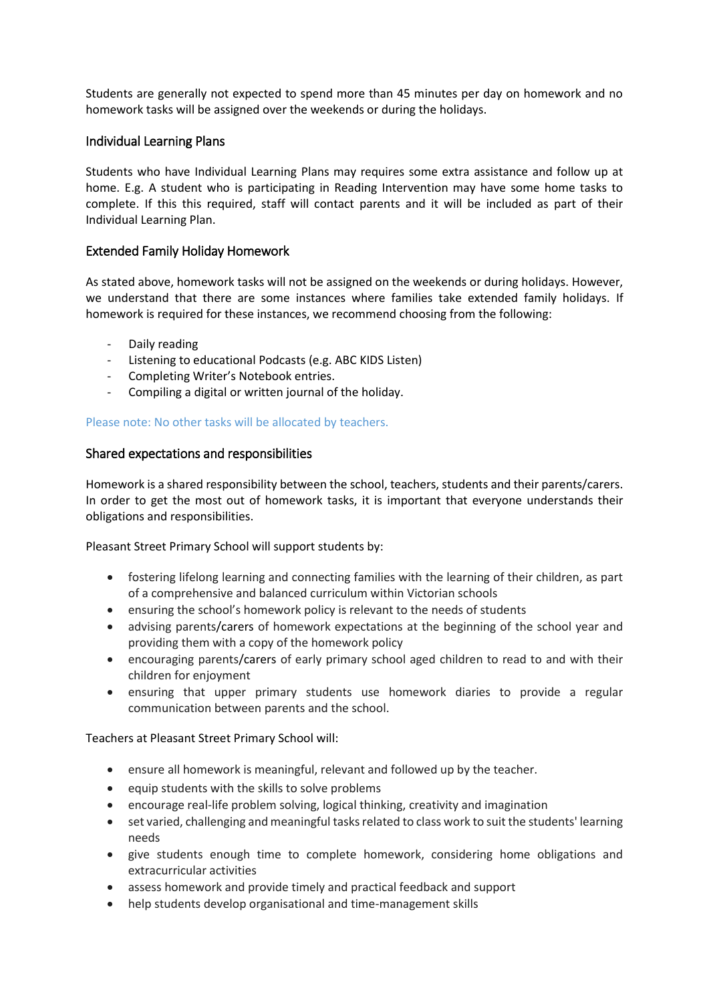Students are generally not expected to spend more than 45 minutes per day on homework and no homework tasks will be assigned over the weekends or during the holidays.

#### Individual Learning Plans

Students who have Individual Learning Plans may requires some extra assistance and follow up at home. E.g. A student who is participating in Reading Intervention may have some home tasks to complete. If this this required, staff will contact parents and it will be included as part of their Individual Learning Plan.

#### Extended Family Holiday Homework

As stated above, homework tasks will not be assigned on the weekends or during holidays. However, we understand that there are some instances where families take extended family holidays. If homework is required for these instances, we recommend choosing from the following:

- Daily reading
- Listening to educational Podcasts (e.g. ABC KIDS Listen)
- Completing Writer's Notebook entries.
- Compiling a digital or written journal of the holiday.

#### Please note: No other tasks will be allocated by teachers.

#### Shared expectations and responsibilities

Homework is a shared responsibility between the school, teachers, students and their parents/carers. In order to get the most out of homework tasks, it is important that everyone understands their obligations and responsibilities.

Pleasant Street Primary School will support students by:

- fostering lifelong learning and connecting families with the learning of their children, as part of a comprehensive and balanced curriculum within Victorian schools
- ensuring the school's homework policy is relevant to the needs of students
- advising parents/carers of homework expectations at the beginning of the school year and providing them with a copy of the homework policy
- encouraging parents/carers of early primary school aged children to read to and with their children for enjoyment
- ensuring that upper primary students use homework diaries to provide a regular communication between parents and the school.

#### Teachers at Pleasant Street Primary School will:

- ensure all homework is meaningful, relevant and followed up by the teacher.
- $\bullet$  equip students with the skills to solve problems
- encourage real-life problem solving, logical thinking, creativity and imagination
- set varied, challenging and meaningful tasks related to class work to suit the students' learning needs
- give students enough time to complete homework, considering home obligations and extracurricular activities
- assess homework and provide timely and practical feedback and support
- help students develop organisational and time-management skills